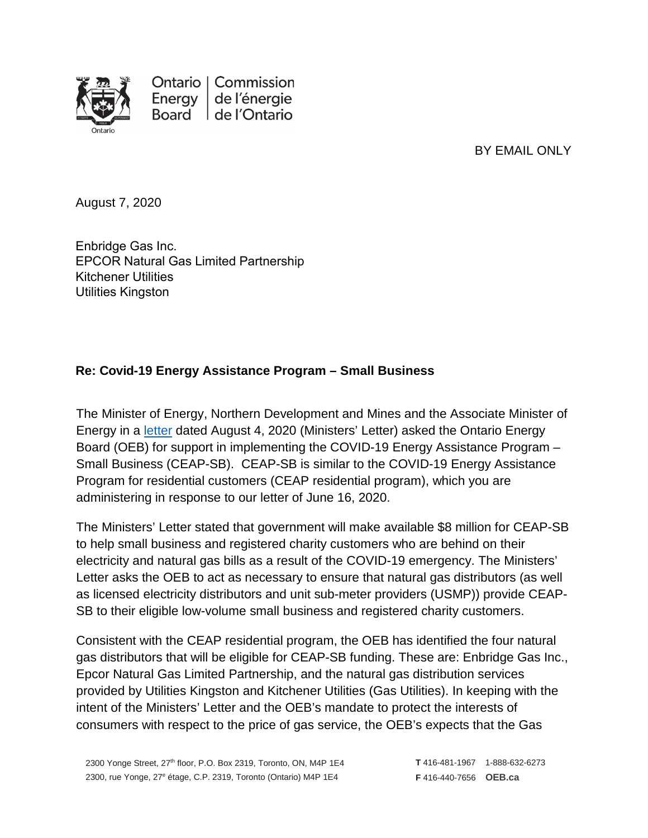

Ontario | Commission Energy de l'énergie Board de l'Ontario

BY EMAIL ONLY

August 7, 2020

Enbridge Gas Inc. EPCOR Natural Gas Limited Partnership Kitchener Utilities Utilitie[s Kingston](mailto:Malini.giridhar@enbridge.com)

# **Re: Covid-19 Energy Assistance Program – Small Business**

The Minister of Energy, Northern Development and Mines and the Associate Minister of Energy in a [letter](https://www.oeb.ca/sites/default/files/letter-from-the-minister-to-OEB-CEAP-SB-20200804.pdf) dated August 4, 2020 (Ministers' Letter) asked the Ontario Energy Board (OEB) for support in implementing the COVID-19 Energy Assistance Program – Small Business (CEAP-SB). CEAP-SB is similar to the COVID-19 Energy Assistance Program for residential customers (CEAP residential program), which you are administering in response to our letter of June 16, 2020.

The Ministers' Letter stated that government will make available \$8 million for CEAP-SB to help small business and registered charity customers who are behind on their electricity and natural gas bills as a result of the COVID-19 emergency. The Ministers' Letter asks the OEB to act as necessary to ensure that natural gas distributors (as well as licensed electricity distributors and unit sub-meter providers (USMP)) provide CEAP-SB to their eligible low-volume small business and registered charity customers.

Consistent with the CEAP residential program, the OEB has identified the four natural gas distributors that will be eligible for CEAP-SB funding. These are: Enbridge Gas Inc., Epcor Natural Gas Limited Partnership, and the natural gas distribution services provided by Utilities Kingston and Kitchener Utilities (Gas Utilities). In keeping with the intent of the Ministers' Letter and the OEB's mandate to protect the interests of consumers with respect to the price of gas service, the OEB's expects that the Gas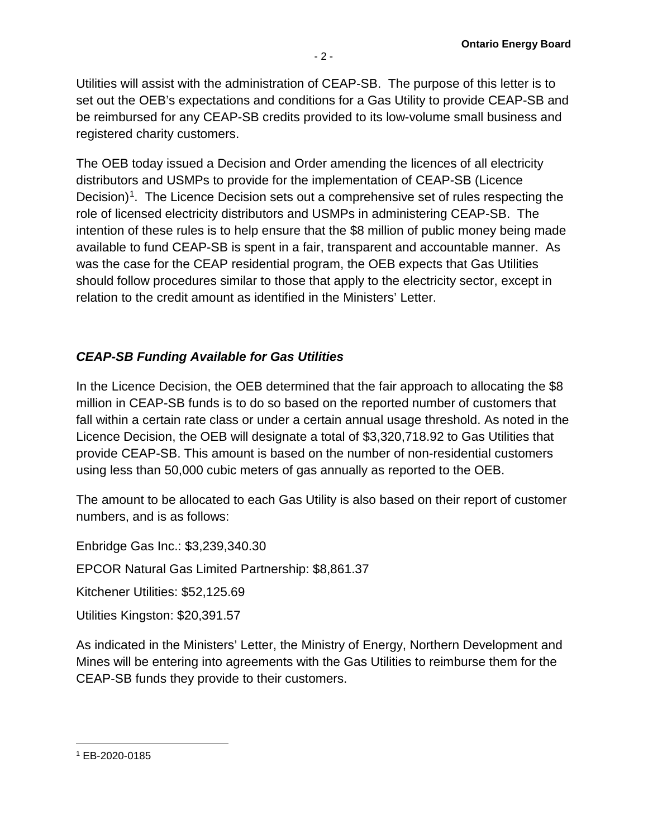Utilities will assist with the administration of CEAP-SB. The purpose of this letter is to set out the OEB's expectations and conditions for a Gas Utility to provide CEAP-SB and be reimbursed for any CEAP-SB credits provided to its low-volume small business and registered charity customers.

The OEB today issued a Decision and Order amending the licences of all electricity distributors and USMPs to provide for the implementation of CEAP-SB (Licence Decision<sup>1</sup>. The Licence Decision sets out a comprehensive set of rules respecting the role of licensed electricity distributors and USMPs in administering CEAP-SB. The intention of these rules is to help ensure that the \$8 million of public money being made available to fund CEAP-SB is spent in a fair, transparent and accountable manner. As was the case for the CEAP residential program, the OEB expects that Gas Utilities should follow procedures similar to those that apply to the electricity sector, except in relation to the credit amount as identified in the Ministers' Letter.

# *CEAP-SB Funding Available for Gas Utilities*

In the Licence Decision, the OEB determined that the fair approach to allocating the \$8 million in CEAP-SB funds is to do so based on the reported number of customers that fall within a certain rate class or under a certain annual usage threshold. As noted in the Licence Decision, the OEB will designate a total of \$3,320,718.92 to Gas Utilities that provide CEAP-SB. This amount is based on the number of non-residential customers using less than 50,000 cubic meters of gas annually as reported to the OEB.

The amount to be allocated to each Gas Utility is also based on their report of customer numbers, and is as follows:

Enbridge Gas Inc.: \$3,239,340.30

EPCOR Natural Gas Limited Partnership: \$8,861.37

Kitchener Utilities: \$52,125.69

Utilities Kingston: \$20,391.57

As indicated in the Ministers' Letter, the Ministry of Energy, Northern Development and Mines will be entering into agreements with the Gas Utilities to reimburse them for the CEAP-SB funds they provide to their customers.

l

<span id="page-1-0"></span><sup>1</sup> EB-2020-0185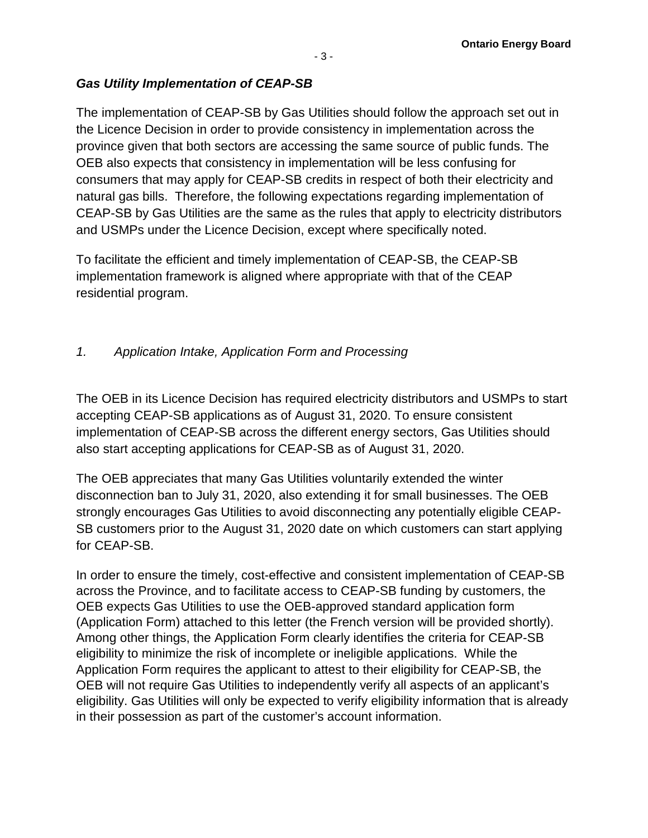# *Gas Utility Implementation of CEAP-SB*

The implementation of CEAP-SB by Gas Utilities should follow the approach set out in the Licence Decision in order to provide consistency in implementation across the province given that both sectors are accessing the same source of public funds. The OEB also expects that consistency in implementation will be less confusing for consumers that may apply for CEAP-SB credits in respect of both their electricity and natural gas bills. Therefore, the following expectations regarding implementation of CEAP-SB by Gas Utilities are the same as the rules that apply to electricity distributors and USMPs under the Licence Decision, except where specifically noted.

To facilitate the efficient and timely implementation of CEAP-SB, the CEAP-SB implementation framework is aligned where appropriate with that of the CEAP residential program.

# *1. Application Intake, Application Form and Processing*

The OEB in its Licence Decision has required electricity distributors and USMPs to start accepting CEAP-SB applications as of August 31, 2020. To ensure consistent implementation of CEAP-SB across the different energy sectors, Gas Utilities should also start accepting applications for CEAP-SB as of August 31, 2020.

The OEB appreciates that many Gas Utilities voluntarily extended the winter disconnection ban to July 31, 2020, also extending it for small businesses. The OEB strongly encourages Gas Utilities to avoid disconnecting any potentially eligible CEAP-SB customers prior to the August 31, 2020 date on which customers can start applying for CEAP-SB.

In order to ensure the timely, cost-effective and consistent implementation of CEAP-SB across the Province, and to facilitate access to CEAP-SB funding by customers, the OEB expects Gas Utilities to use the OEB-approved standard application form (Application Form) attached to this letter (the French version will be provided shortly). Among other things, the Application Form clearly identifies the criteria for CEAP-SB eligibility to minimize the risk of incomplete or ineligible applications. While the Application Form requires the applicant to attest to their eligibility for CEAP-SB, the OEB will not require Gas Utilities to independently verify all aspects of an applicant's eligibility. Gas Utilities will only be expected to verify eligibility information that is already in their possession as part of the customer's account information.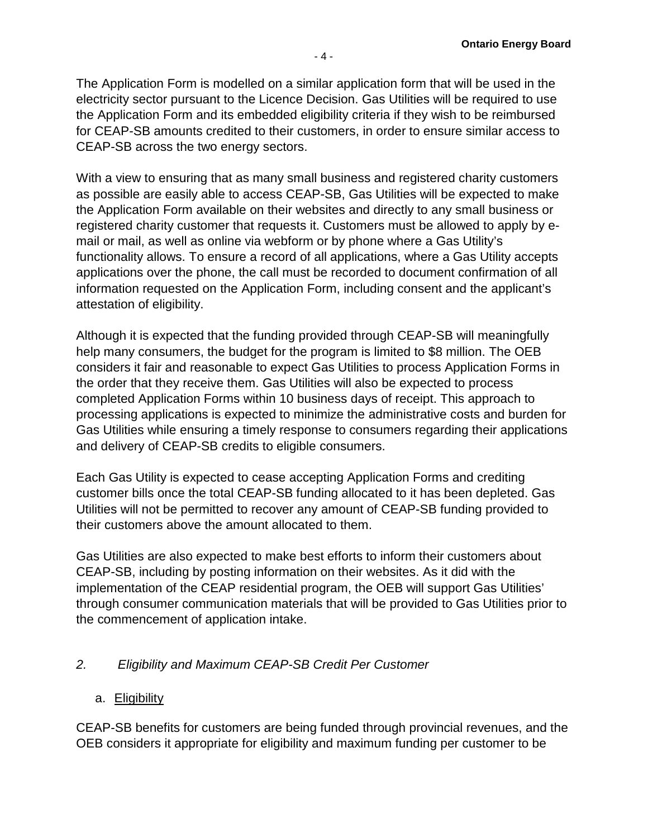The Application Form is modelled on a similar application form that will be used in the electricity sector pursuant to the Licence Decision. Gas Utilities will be required to use the Application Form and its embedded eligibility criteria if they wish to be reimbursed for CEAP-SB amounts credited to their customers, in order to ensure similar access to CEAP-SB across the two energy sectors.

With a view to ensuring that as many small business and registered charity customers as possible are easily able to access CEAP-SB, Gas Utilities will be expected to make the Application Form available on their websites and directly to any small business or registered charity customer that requests it. Customers must be allowed to apply by email or mail, as well as online via webform or by phone where a Gas Utility's functionality allows. To ensure a record of all applications, where a Gas Utility accepts applications over the phone, the call must be recorded to document confirmation of all information requested on the Application Form, including consent and the applicant's attestation of eligibility.

Although it is expected that the funding provided through CEAP-SB will meaningfully help many consumers, the budget for the program is limited to \$8 million. The OEB considers it fair and reasonable to expect Gas Utilities to process Application Forms in the order that they receive them. Gas Utilities will also be expected to process completed Application Forms within 10 business days of receipt. This approach to processing applications is expected to minimize the administrative costs and burden for Gas Utilities while ensuring a timely response to consumers regarding their applications and delivery of CEAP-SB credits to eligible consumers.

Each Gas Utility is expected to cease accepting Application Forms and crediting customer bills once the total CEAP-SB funding allocated to it has been depleted. Gas Utilities will not be permitted to recover any amount of CEAP-SB funding provided to their customers above the amount allocated to them.

Gas Utilities are also expected to make best efforts to inform their customers about CEAP-SB, including by posting information on their websites. As it did with the implementation of the CEAP residential program, the OEB will support Gas Utilities' through consumer communication materials that will be provided to Gas Utilities prior to the commencement of application intake.

## *2. Eligibility and Maximum CEAP-SB Credit Per Customer*

## a. Eligibility

CEAP-SB benefits for customers are being funded through provincial revenues, and the OEB considers it appropriate for eligibility and maximum funding per customer to be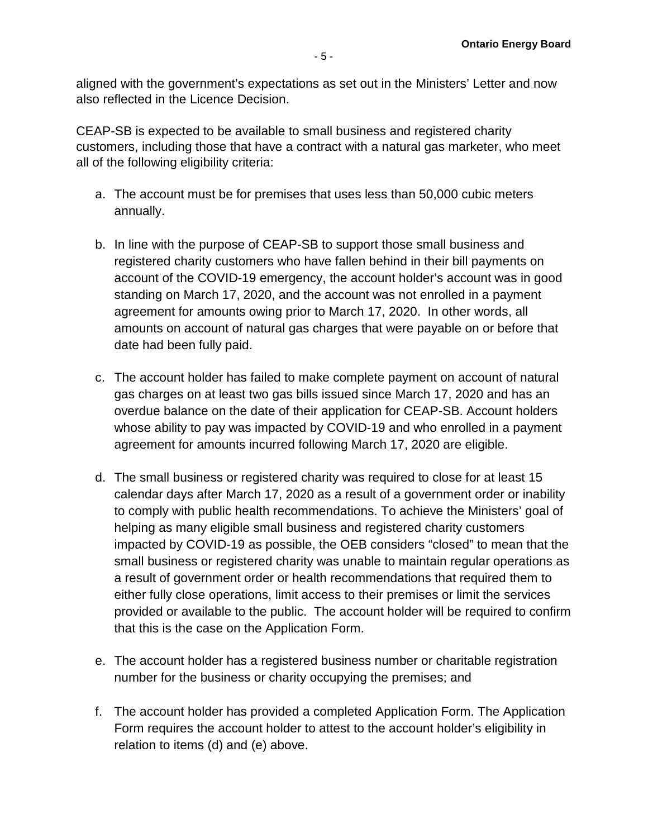aligned with the government's expectations as set out in the Ministers' Letter and now also reflected in the Licence Decision.

CEAP-SB is expected to be available to small business and registered charity customers, including those that have a contract with a natural gas marketer, who meet all of the following eligibility criteria:

- a. The account must be for premises that uses less than 50,000 cubic meters annually.
- b. In line with the purpose of CEAP-SB to support those small business and registered charity customers who have fallen behind in their bill payments on account of the COVID-19 emergency, the account holder's account was in good standing on March 17, 2020, and the account was not enrolled in a payment agreement for amounts owing prior to March 17, 2020. In other words, all amounts on account of natural gas charges that were payable on or before that date had been fully paid.
- c. The account holder has failed to make complete payment on account of natural gas charges on at least two gas bills issued since March 17, 2020 and has an overdue balance on the date of their application for CEAP-SB. Account holders whose ability to pay was impacted by COVID-19 and who enrolled in a payment agreement for amounts incurred following March 17, 2020 are eligible.
- d. The small business or registered charity was required to close for at least 15 calendar days after March 17, 2020 as a result of a government order or inability to comply with public health recommendations. To achieve the Ministers' goal of helping as many eligible small business and registered charity customers impacted by COVID-19 as possible, the OEB considers "closed" to mean that the small business or registered charity was unable to maintain regular operations as a result of government order or health recommendations that required them to either fully close operations, limit access to their premises or limit the services provided or available to the public. The account holder will be required to confirm that this is the case on the Application Form.
- e. The account holder has a registered business number or charitable registration number for the business or charity occupying the premises; and
- f. The account holder has provided a completed Application Form. The Application Form requires the account holder to attest to the account holder's eligibility in relation to items (d) and (e) above.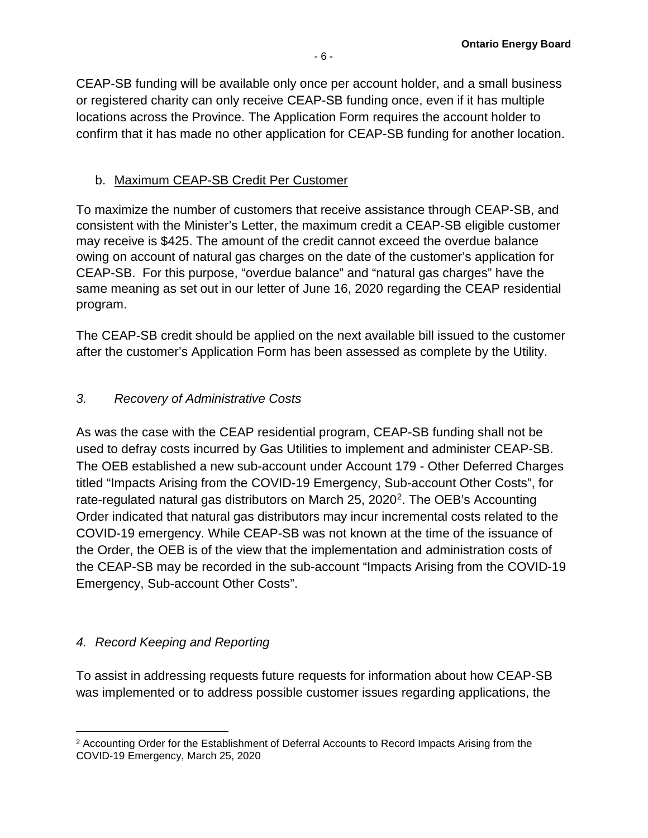CEAP-SB funding will be available only once per account holder, and a small business or registered charity can only receive CEAP-SB funding once, even if it has multiple locations across the Province. The Application Form requires the account holder to confirm that it has made no other application for CEAP-SB funding for another location.

# b. Maximum CEAP-SB Credit Per Customer

To maximize the number of customers that receive assistance through CEAP-SB, and consistent with the Minister's Letter, the maximum credit a CEAP-SB eligible customer may receive is \$425. The amount of the credit cannot exceed the overdue balance owing on account of natural gas charges on the date of the customer's application for CEAP-SB. For this purpose, "overdue balance" and "natural gas charges" have the same meaning as set out in our letter of June 16, 2020 regarding the CEAP residential program.

The CEAP-SB credit should be applied on the next available bill issued to the customer after the customer's Application Form has been assessed as complete by the Utility.

# *3. Recovery of Administrative Costs*

As was the case with the CEAP residential program, CEAP-SB funding shall not be used to defray costs incurred by Gas Utilities to implement and administer CEAP-SB. The OEB established a new sub-account under Account 179 - Other Deferred Charges titled "Impacts Arising from the COVID-19 Emergency, Sub-account Other Costs", for rate-regulated natural gas distributors on March 25, 2020<sup>2</sup>. The OEB's Accounting Order indicated that natural gas distributors may incur incremental costs related to the COVID-19 emergency. While CEAP-SB was not known at the time of the issuance of the Order, the OEB is of the view that the implementation and administration costs of the CEAP-SB may be recorded in the sub-account "Impacts Arising from the COVID-19 Emergency, Sub-account Other Costs".

# *4. Record Keeping and Reporting*

l

To assist in addressing requests future requests for information about how CEAP-SB was implemented or to address possible customer issues regarding applications, the

<span id="page-5-0"></span><sup>&</sup>lt;sup>2</sup> Accounting Order for the Establishment of Deferral Accounts to Record Impacts Arising from the COVID-19 Emergency, March 25, 2020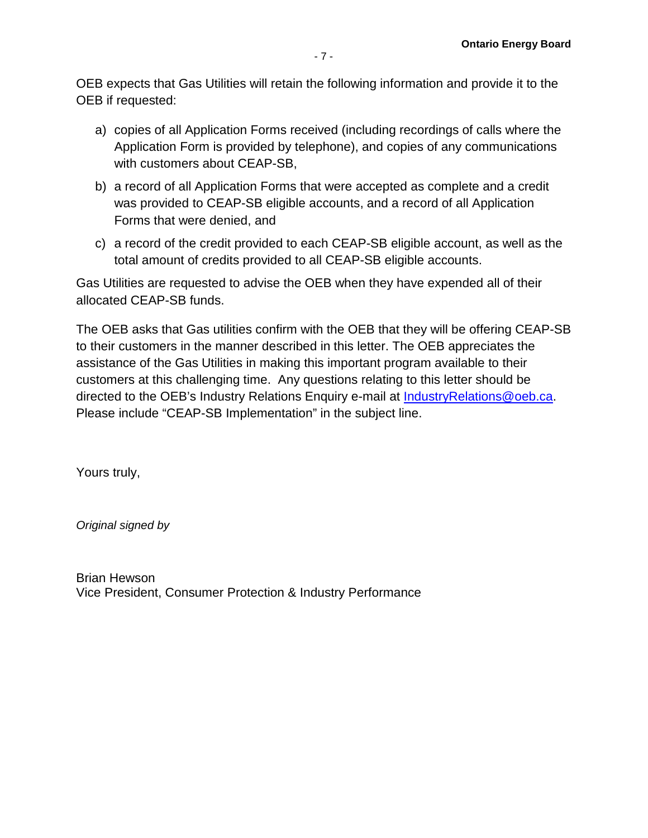OEB expects that Gas Utilities will retain the following information and provide it to the OEB if requested:

- a) copies of all Application Forms received (including recordings of calls where the Application Form is provided by telephone), and copies of any communications with customers about CEAP-SB,
- b) a record of all Application Forms that were accepted as complete and a credit was provided to CEAP-SB eligible accounts, and a record of all Application Forms that were denied, and
- c) a record of the credit provided to each CEAP-SB eligible account, as well as the total amount of credits provided to all CEAP-SB eligible accounts.

Gas Utilities are requested to advise the OEB when they have expended all of their allocated CEAP-SB funds.

The OEB asks that Gas utilities confirm with the OEB that they will be offering CEAP-SB to their customers in the manner described in this letter. The OEB appreciates the assistance of the Gas Utilities in making this important program available to their customers at this challenging time. Any questions relating to this letter should be directed to the OEB's Industry Relations Enquiry e-mail at [IndustryRelations@oeb.ca.](mailto:IndustryRelations@oeb.ca) Please include "CEAP-SB Implementation" in the subject line.

Yours truly,

*Original signed by* 

Brian Hewson Vice President, Consumer Protection & Industry Performance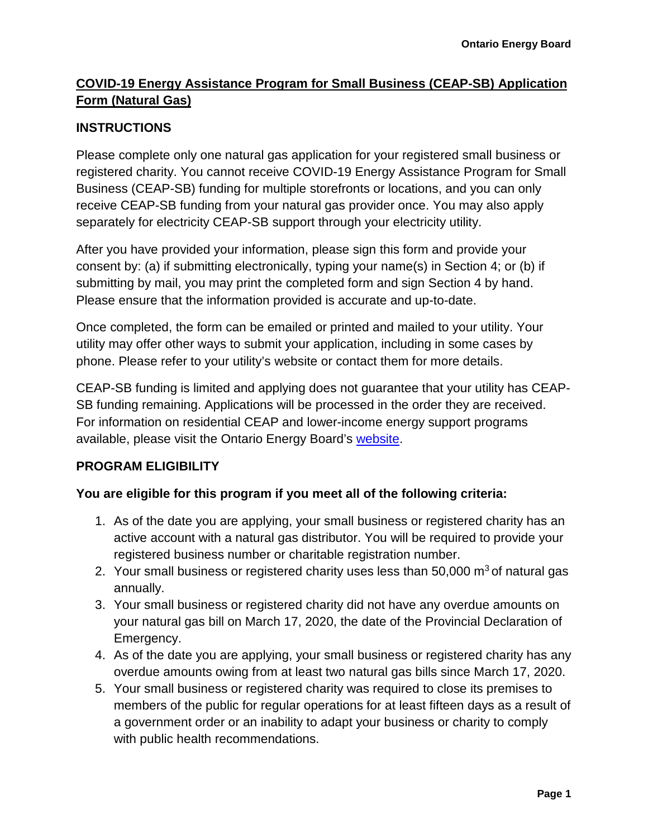# **COVID-19 Energy Assistance Program for Small Business (CEAP-SB) Application Form (Natural Gas)**

# **INSTRUCTIONS**

Please complete only one natural gas application for your registered small business or registered charity. You cannot receive COVID-19 Energy Assistance Program for Small Business (CEAP-SB) funding for multiple storefronts or locations, and you can only receive CEAP-SB funding from your natural gas provider once. You may also apply separately for electricity CEAP-SB support through your electricity utility.

After you have provided your information, please sign this form and provide your consent by: (a) if submitting electronically, typing your name(s) in Section 4; or (b) if submitting by mail, you may print the completed form and sign Section 4 by hand. Please ensure that the information provided is accurate and up-to-date.

Once completed, the form can be emailed or printed and mailed to your utility. Your utility may offer other ways to submit your application, including in some cases by phone. Please refer to your utility's website or contact them for more details.

CEAP-SB funding is limited and applying does not guarantee that your utility has CEAP-SB funding remaining. Applications will be processed in the order they are received. For information on residential CEAP and lower-income energy support programs available, please visit the Ontario Energy Board's [website.](https://www.oeb.ca/rates-and-your-bill/help-low-income-consumers)

## **PROGRAM ELIGIBILITY**

## **You are eligible for this program if you meet all of the following criteria:**

- 1. As of the date you are applying, your small business or registered charity has an active account with a natural gas distributor. You will be required to provide your registered business number or charitable registration number.
- 2. Your small business or registered charity uses less than  $50,000$  m<sup>3</sup> of natural gas annually.
- 3. Your small business or registered charity did not have any overdue amounts on your natural gas bill on March 17, 2020, the date of the Provincial Declaration of Emergency.
- 4. As of the date you are applying, your small business or registered charity has any overdue amounts owing from at least two natural gas bills since March 17, 2020.
- 5. Your small business or registered charity was required to close its premises to members of the public for regular operations for at least fifteen days as a result of a government order or an inability to adapt your business or charity to comply with public health recommendations.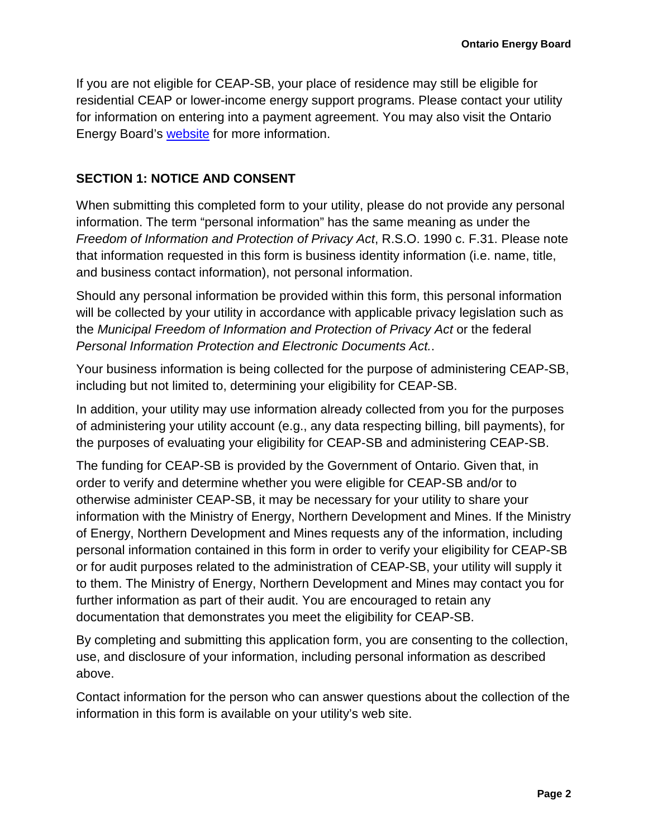If you are not eligible for CEAP-SB, your place of residence may still be eligible for residential CEAP or lower-income energy support programs. Please contact your utility for information on entering into a payment agreement. You may also visit the Ontario Energy Board's [website](https://www.oeb.ca/rates-and-your-bill/help-low-income-consumers) for more information.

#### **SECTION 1: NOTICE AND CONSENT**

When submitting this completed form to your utility, please do not provide any personal information. The term "personal information" has the same meaning as under the *Freedom of Information and Protection of Privacy Act*, R.S.O. 1990 c. F.31. Please note that information requested in this form is business identity information (i.e. name, title, and business contact information), not personal information.

Should any personal information be provided within this form, this personal information will be collected by your utility in accordance with applicable privacy legislation such as the *Municipal Freedom of Information and Protection of Privacy Act* or the federal *Personal Information Protection and Electronic Documents Act.*.

Your business information is being collected for the purpose of administering CEAP-SB, including but not limited to, determining your eligibility for CEAP-SB.

In addition, your utility may use information already collected from you for the purposes of administering your utility account (e.g., any data respecting billing, bill payments), for the purposes of evaluating your eligibility for CEAP-SB and administering CEAP-SB.

The funding for CEAP-SB is provided by the Government of Ontario. Given that, in order to verify and determine whether you were eligible for CEAP-SB and/or to otherwise administer CEAP-SB, it may be necessary for your utility to share your information with the Ministry of Energy, Northern Development and Mines. If the Ministry of Energy, Northern Development and Mines requests any of the information, including personal information contained in this form in order to verify your eligibility for CEAP-SB or for audit purposes related to the administration of CEAP-SB, your utility will supply it to them. The Ministry of Energy, Northern Development and Mines may contact you for further information as part of their audit. You are encouraged to retain any documentation that demonstrates you meet the eligibility for CEAP-SB.

By completing and submitting this application form, you are consenting to the collection, use, and disclosure of your information, including personal information as described above.

Contact information for the person who can answer questions about the collection of the information in this form is available on your utility's web site.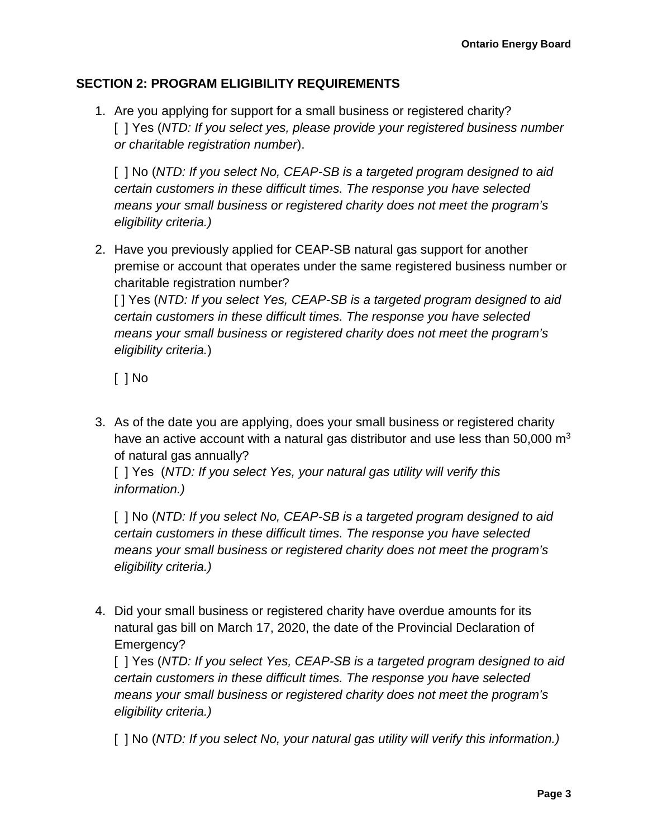#### **SECTION 2: PROGRAM ELIGIBILITY REQUIREMENTS**

1. Are you applying for support for a small business or registered charity? [ ] Yes (*NTD: If you select yes, please provide your registered business number or charitable registration number*).

[ ] No (*NTD: If you select No, CEAP-SB is a targeted program designed to aid certain customers in these difficult times. The response you have selected means your small business or registered charity does not meet the program's eligibility criteria.)*

2. Have you previously applied for CEAP-SB natural gas support for another premise or account that operates under the same registered business number or charitable registration number?

[ ] Yes (*NTD: If you select Yes, CEAP-SB is a targeted program designed to aid certain customers in these difficult times. The response you have selected means your small business or registered charity does not meet the program's eligibility criteria.*)

[ ] No

3. As of the date you are applying, does your small business or registered charity have an active account with a natural gas distributor and use less than 50,000  $\text{m}^3$ of natural gas annually?

[ ] Yes (*NTD: If you select Yes, your natural gas utility will verify this information.)*

[ ] No (*NTD: If you select No, CEAP-SB is a targeted program designed to aid certain customers in these difficult times. The response you have selected means your small business or registered charity does not meet the program's eligibility criteria.)*

4. Did your small business or registered charity have overdue amounts for its natural gas bill on March 17, 2020, the date of the Provincial Declaration of Emergency?

[ ] Yes (*NTD: If you select Yes, CEAP-SB is a targeted program designed to aid certain customers in these difficult times. The response you have selected means your small business or registered charity does not meet the program's eligibility criteria.)* 

[ ] No (*NTD: If you select No, your natural gas utility will verify this information.)*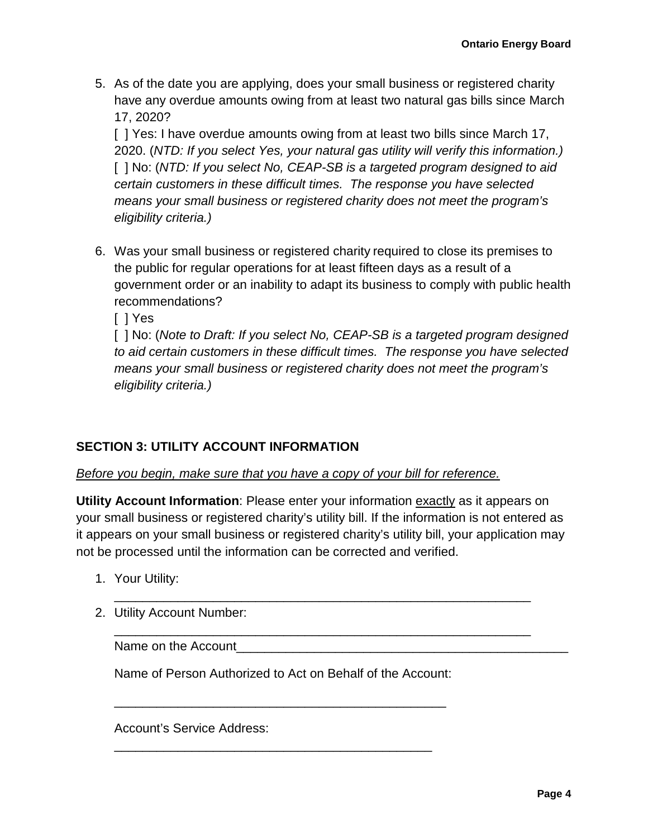5. As of the date you are applying, does your small business or registered charity have any overdue amounts owing from at least two natural gas bills since March 17, 2020?

[] Yes: I have overdue amounts owing from at least two bills since March 17, 2020. (*NTD: If you select Yes, your natural gas utility will verify this information.)* [ ] No: (*NTD: If you select No, CEAP-SB is a targeted program designed to aid certain customers in these difficult times. The response you have selected means your small business or registered charity does not meet the program's eligibility criteria.)* 

- 6. Was your small business or registered charity required to close its premises to the public for regular operations for at least fifteen days as a result of a government order or an inability to adapt its business to comply with public health recommendations?
	- [ ] Yes

[ ] No: (*Note to Draft: If you select No, CEAP-SB is a targeted program designed to aid certain customers in these difficult times. The response you have selected means your small business or registered charity does not meet the program's eligibility criteria.)* 

## **SECTION 3: UTILITY ACCOUNT INFORMATION**

#### *Before you begin, make sure that you have a copy of your bill for reference.*

**Utility Account Information**: Please enter your information exactly as it appears on your small business or registered charity's utility bill. If the information is not entered as it appears on your small business or registered charity's utility bill, your application may not be processed until the information can be corrected and verified.

\_\_\_\_\_\_\_\_\_\_\_\_\_\_\_\_\_\_\_\_\_\_\_\_\_\_\_\_\_\_\_\_\_\_\_\_\_\_\_\_\_\_\_\_\_\_\_\_\_\_\_\_\_\_\_\_\_\_\_

\_\_\_\_\_\_\_\_\_\_\_\_\_\_\_\_\_\_\_\_\_\_\_\_\_\_\_\_\_\_\_\_\_\_\_\_\_\_\_\_\_\_\_\_\_\_\_\_\_\_\_\_\_\_\_\_\_\_\_

- 1. Your Utility:
- 2. Utility Account Number:

Name on the Account

Name of Person Authorized to Act on Behalf of the Account:

\_\_\_\_\_\_\_\_\_\_\_\_\_\_\_\_\_\_\_\_\_\_\_\_\_\_\_\_\_\_\_\_\_\_\_\_\_\_\_\_\_\_\_\_\_\_\_

\_\_\_\_\_\_\_\_\_\_\_\_\_\_\_\_\_\_\_\_\_\_\_\_\_\_\_\_\_\_\_\_\_\_\_\_\_\_\_\_\_\_\_\_\_

Account's Service Address: